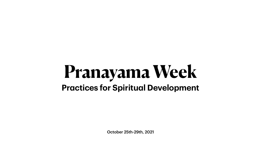October 25th-29th, 2021

# **Pranayama Week Practices for Spiritual Development**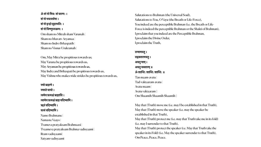**ॐ शंनो मित्रः शंवरुणः । शंनो भवत्वर्यमा । शंनो इन्द्रो बृहस्पतिः । शंनो विष्णुरुरुक्रमः ।** Om sham no Mitrah sham Varunah | Sham no bhavatv-Aryamaa | Sham no Indro Brhaspatih | Sham no Visnur-Urukramah |

Om, May Mitra be propitious towards us; May Varuna be propitious towards us, May Aryaman be propitious towards us, May Indra and Brihaspati be propitious towards us, May Vishnu who makes wide strides be propitious towards us,

**नमो ब्रह्मणे। नमस्तेवायो । त्वमेव प्रत्यक्षंब्रह्मासि । त्वामेव प्रत्यक्षंब्रह्म वदिष्यामि । ॠतंवदिष्यामि । सत्यंवदिष्यामि ।** Namo Brahmane | Namaste Vaayo | Tvameva pratyaksam Brahmaasi | Tvaameva pratyaksam Brahma vadisyaami | Rtam vadisyaami | Satyam vadisyaami

May that (Truth) move me (i.e. may I be established in that Truth), May that (Truth) move the speaker (i.e. may the speaker be established in that Truth),

May that (Truth) protect the speaker (i.e. May that Truth take the speaker in its Fold) (i.e. May the speaker surrender to that Truth), Om Peace, Peace, Peace.

Salutations to Brahman (the Universal Soul), Salutations to You, O Vayu (the Breath or Life-Force), You indeed are the perceptible Brahman (i.e. the Breath or Life-Force is indeed the perceptible Brahman or the Shakti of Brahman), I proclaim that you indeed are the Perceptible Brahman, I proclaim the Divine Order, I proclaim the Truth,

#### **तन्मामवतु। तद्वक्तारमवतु। अवतुमाम्। अवतुवक्तारम्॥ ॐ शान्तिः शान्तिः शान्तिः ॥** Tan maam-avatu | Tad-vaktaaram-avatu | Avatu maam | Avatu vaktaaram ||

Om Shaantih Shaantih Shaantih ||

May that (Truth) protect me (i.e. may that Truth take me in its fold) (i.e. may I surrender to that Truth),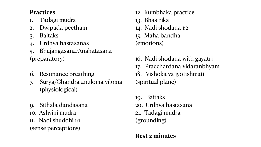#### **Practices**

- 1. Tadagi mudra
- 2. Dwipada peetham
- 3. Baitaks
- 4. Urdhva hastasanas

5. Bhujangasana/Anahatasana (preparatory)

- 6. Resonance breathing
- 7. Surya/Chandra anuloma viloma (physiological)
- 9. Sithala dandasana
- 10. Ashvini mudra
- 11. Nadi shuddhi 1:1 (sense perceptions)
- 12. Kumbhaka practice
- 13. Bhastrika
- 14. Nadi shodana 1:2
- 15. Maha bandha (emotions)
- 16. Nadi shodana with gayatri 17. Pracchardana vidaranbhyam 18. Vishoka va jyotishmati (spiritual plane)
- 19. Baitaks
- 20. Urdhva hastasana
- 21. Tadagi mudra

(grounding)

### **Rest 2 minutes**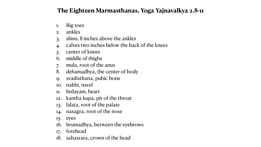## **The Eighteen Marmasthanas, Yoga Yajnavalkya 2.8-11**

- 1. Big toes
- 2. ankles
- 3. shins, 8 inches above the ankles
- 4. calves two inches below the back of the knees
- 5. center of knees
- 6. middle of thighs
- 7. mula, root of the anus
- 8. dehamadhya, the center of body
- 9. svadisthana, pubic bone
- 10. nabhi, navel
- 11. hrdayam, heart
- 12. kantha kupa, pit of the throat
- 13. lalata, root of the palate
- 14. nasagra, root of the nose
- 15. eyes
- 16. brumadhya, between the eyebrows
- 17. forehead
- 18. sahasrara, crown of the head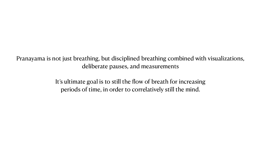Pranayama is not just breathing, but disciplined breathing combined with visualizations, deliberate pauses, and measurements

> It's ultimate goal is to still the flow of breath for increasing periods of time, in order to correlatively still the mind.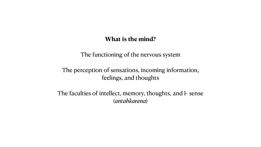#### **What is the mind?**

- The functioning of the nervous system
- The perception of sensations, incoming information, feelings, and thoughts
- The faculties of intellect, memory, thoughts, and I- sense (*antahkarana*)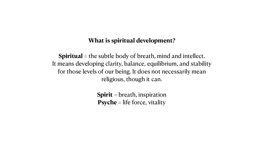#### **What is spiritual development?**

- -

**Spiritual** = the subtle body of breath, mind and intellect. It means developing clarity, balance, equilibrium, and stability for those levels of our being. It does not necessarily mean religious, though it can.

> **Spirit** = breath, inspiration **Psyche** = life force, vitality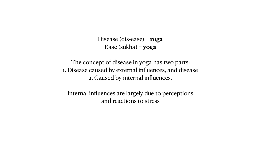Disease (dis-ease) = **roga** Ease (sukha) = **yoga**

- The concept of disease in yoga has two parts: 1. Disease caused by external influences, and disease 2. Caused by internal influences.
	- Internal influences are largely due to perceptions and reactions to stress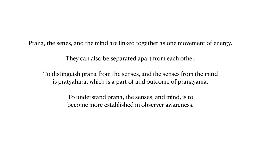Prana, the senes, and the mind are linked together as one movement of energy.

They can also be separated apart from each other.

To distinguish prana from the senses, and the senses from the mind is pratyahara, which is a part of and outcome of pranayama.

> To understand prana, the senses, and mind, is to become more established in observer awareness.